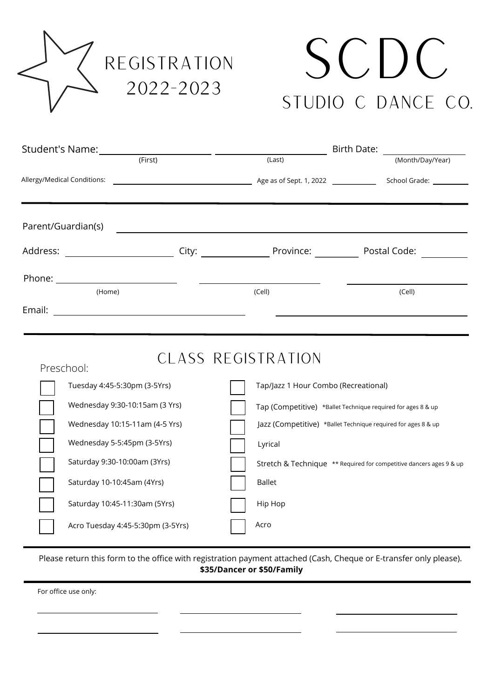

# scDC Studio C Dance Co.

|                                  |                                                       |  |                                                               | Birth Date: The Management of the Second Second Second Second Second Second Second Second Second Second Second Second Second Second Second Second Second Second Second Second Second Second Second Second Second Second Second |  |  |
|----------------------------------|-------------------------------------------------------|--|---------------------------------------------------------------|--------------------------------------------------------------------------------------------------------------------------------------------------------------------------------------------------------------------------------|--|--|
|                                  |                                                       |  | (Last)                                                        | (Month/Day/Year)                                                                                                                                                                                                               |  |  |
|                                  | Allergy/Medical Conditions:                           |  |                                                               |                                                                                                                                                                                                                                |  |  |
|                                  |                                                       |  |                                                               |                                                                                                                                                                                                                                |  |  |
|                                  | Parent/Guardian(s)                                    |  | <u> 1989 - Andrea Stadt Britain, fransk politik (d. 1989)</u> |                                                                                                                                                                                                                                |  |  |
|                                  |                                                       |  |                                                               |                                                                                                                                                                                                                                |  |  |
|                                  |                                                       |  |                                                               |                                                                                                                                                                                                                                |  |  |
|                                  | (Home)                                                |  | (Cell)                                                        | (Cell)                                                                                                                                                                                                                         |  |  |
| Email:                           | <u> 1989 - Johann Stoff, fransk kongresser og det</u> |  |                                                               |                                                                                                                                                                                                                                |  |  |
|                                  |                                                       |  |                                                               |                                                                                                                                                                                                                                |  |  |
|                                  |                                                       |  |                                                               |                                                                                                                                                                                                                                |  |  |
| CLASS REGISTRATION<br>Preschool: |                                                       |  |                                                               |                                                                                                                                                                                                                                |  |  |
|                                  | Tuesday 4:45-5:30pm (3-5Yrs)                          |  | Tap/Jazz 1 Hour Combo (Recreational)                          |                                                                                                                                                                                                                                |  |  |
|                                  | Wednesday 9:30-10:15am (3 Yrs)                        |  |                                                               | Tap (Competitive) *Ballet Technique required for ages 8 & up                                                                                                                                                                   |  |  |
|                                  | Wednesday 10:15-11am (4-5 Yrs)                        |  |                                                               | Jazz (Competitive) *Ballet Technique required for ages 8 & up                                                                                                                                                                  |  |  |
|                                  | Wednesday 5-5:45pm (3-5Yrs)                           |  | Lyrical                                                       |                                                                                                                                                                                                                                |  |  |
|                                  | Saturday 9:30-10:00am (3Yrs)                          |  |                                                               | Stretch & Technique ** Required for competitive dancers ages 9 & up                                                                                                                                                            |  |  |
|                                  | Saturday 10-10:45am (4Yrs)                            |  | <b>Ballet</b>                                                 |                                                                                                                                                                                                                                |  |  |
|                                  | Saturday 10:45-11:30am (5Yrs)                         |  | Hip Hop                                                       |                                                                                                                                                                                                                                |  |  |

Please return this form to the office with registration payment attached (Cash, Cheque or E-transfer only please). **\$35/Dancer or \$50/Family**

Acro

For office use only:

Acro Tuesday 4:45-5:30pm (3-5Yrs)